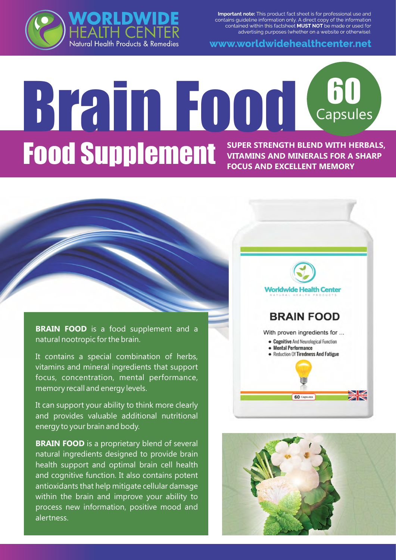Important note: This product fact sheet is for professional use and contains guideline information only. A direct copy of the information contained within this factsheet **MUST NOT** be made or used for advertising purposes (whether on a website or otherwise).



www.worldwidehealthcenter.net

# Brain Food <sup>60</sup> GO<br>Capsules **Food Supplement** Super STRENGTH BLEND WITH HERBALS, **VITAMINS AND MINERALS FOR A SHARP FOCUS AND EXCELLENT MEMORY**

**BRAIN FOOD** is a food supplement and a natural nootropic for the brain.

It contains a special combination of herbs, vitamins and mineral ingredients that support focus, concentration, mental performance, memory recall and energy levels.

It can support your ability to think more clearly and provides valuable additional nutritional energy to your brain and body.

**BRAIN FOOD** is a proprietary blend of several natural ingredients designed to provide brain health support and optimal brain cell health and cognitive function. It also contains potent antioxidants that help mitigate cellular damage within the brain and improve your ability to process new information, positive mood and alertness.



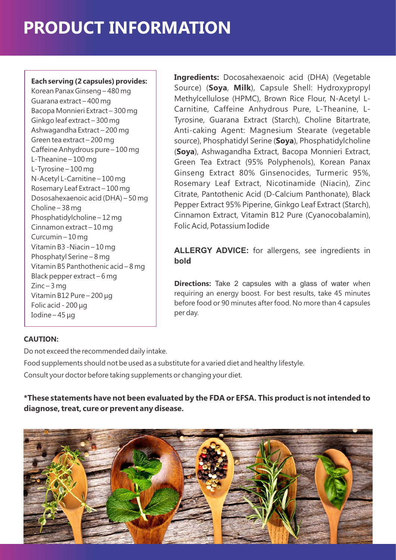#### **Each serving (2 capsules) provides:**

Korean Panax Ginseng – 480 mg Guarana extract – 400 mg Bacopa Monnieri Extract – 300 mg Ginkgo leaf extract – 300 mg Ashwagandha Extract – 200 mg Green tea extract – 200 mg Caffeine Anhydrous pure – 100 mg L-Theanine – 100 mg L-Tyrosine – 100 mg N-Acetyl L-Carnitine – 100 mg Rosemary Leaf Extract – 100 mg Dososahexaenoic acid (DHA) – 50 mg Choline – 38 mg Phosphatidylcholine – 12 mg Cinnamon extract – 10 mg Curcumin – 10 mg Vitamin B3 -Niacin – 10 mg Phosphatyl Serine – 8 mg Vitamin B5 Panthothenic acid – 8 mg Black pepper extract – 6 mg  $Zinc-3$  mg Vitamin B12 Pure – 200 μg Folic acid - 200 μg Iodine – 45 μg

**Ingredients:** Docosahexaenoic acid (DHA) (Vegetable Source) (**Soya**, **Milk**), Capsule Shell: Hydroxypropyl Methylcellulose (HPMC), Brown Rice Flour, N-Acetyl L-Carnitine, Caffeine Anhydrous Pure, L-Theanine, L-Tyrosine, Guarana Extract (Starch), Choline Bitartrate, Anti-caking Agent: Magnesium Stearate (vegetable source), Phosphatidyl Serine (**Soya**), Phosphatidylcholine (**Soya**), Ashwagandha Extract, Bacopa Monnieri Extract, Green Tea Extract (95% Polyphenols), Korean Panax Ginseng Extract 80% Ginsenocides, Turmeric 95%, Rosemary Leaf Extract, Nicotinamide (Niacin), Zinc Citrate, Pantothenic Acid (D-Calcium Panthonate), Black Pepper Extract 95% Piperine, Ginkgo Leaf Extract (Starch), Cinnamon Extract, Vitamin B12 Pure (Cyanocobalamin), Folic Acid, Potassium Iodide

**ALLERGY ADVICE:** for allergens, see ingredients in **bold**

**Directions:** Take 2 capsules with a glass of water when requiring an energy boost. For best results, take 45 minutes before food or 90 minutes after food. No more than 4 capsules per day.

#### **CAUTION:**

Do not exceed the recommended daily intake.

Food supplements should not be used as a substitute for a varied diet and healthy lifestyle.

Consult your doctor before taking supplements or changing your diet.

**\*These statements have not been evaluated by the FDA or EFSA. This product is not intended to diagnose, treat, cure or prevent any disease.**

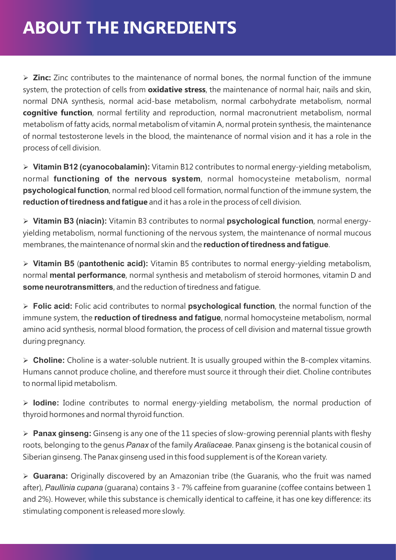### **ABOUT THE INGREDIENTS**

Ø **Zinc:** Zinc contributes to the maintenance of normal bones, the normal function of the immune system, the protection of cells from **oxidative stress**, the maintenance of normal hair, nails and skin, normal DNA synthesis, normal acid-base metabolism, normal carbohydrate metabolism, normal **cognitive function**, normal fertility and reproduction, normal macronutrient metabolism, normal metabolism of fatty acids, normal metabolism of vitamin A, normal protein synthesis, the maintenance of normal testosterone levels in the blood, the maintenance of normal vision and it has a role in the process of cell division.

Ø **Vitamin B12 (cyanocobalamin):** Vitamin B12 contributes to normal energy-yielding metabolism, normal **functioning of the nervous system**, normal homocysteine metabolism, normal **psychological function**, normal red blood cell formation, normal function of the immune system, the **reduction of tiredness and fatigue** and it has a role in the process of cell division.

Ø **Vitamin B3 (niacin):** Vitamin B3 contributes to normal **psychological function**, normal energyyielding metabolism, normal functioning of the nervous system, the maintenance of normal mucous membranes, the maintenance of normal skin and the **reduction of tiredness and fatigue**.

Ø **Vitamin B5** (**pantothenic acid):** Vitamin B5 contributes to normal energy-yielding metabolism, normal **mental performance**, normal synthesis and metabolism of steroid hormones, vitamin D and **some neurotransmitters**, and the reduction of tiredness and fatigue.

Ø **Folic acid:** Folic acid contributes to normal **psychological function**, the normal function of the immune system, the **reduction of tiredness and fatigue**, normal homocysteine metabolism, normal amino acid synthesis, normal blood formation, the process of cell division and maternal tissue growth during pregnancy.

Ø **Choline:** Choline is a water-soluble nutrient. It is usually grouped within the B-complex vitamins. Humans cannot produce choline, and therefore must source it through their diet. Choline contributes to normal lipid metabolism.

Ø **Iodine:** Iodine contributes to normal energy-yielding metabolism, the normal production of thyroid hormones and normal thyroid function.

Ø **Panax ginseng:** Ginseng is any one of the 11 species of slow-growing perennial plants with fleshy roots, belonging to the genus *Panax* of the family *Araliaceae*. Panax ginseng is the botanical cousin of Siberian ginseng. The Panax ginseng used in this food supplement is of the Korean variety.

Ø **Guarana:** Originally discovered by an Amazonian tribe (the Guaranis, who the fruit was named after), *Paullinia cupana* (guarana) contains 3 - 7% caffeine from guaranine (coffee contains between 1 and 2%). However, while this substance is chemically identical to caffeine, it has one key difference: its stimulating component is released more slowly.